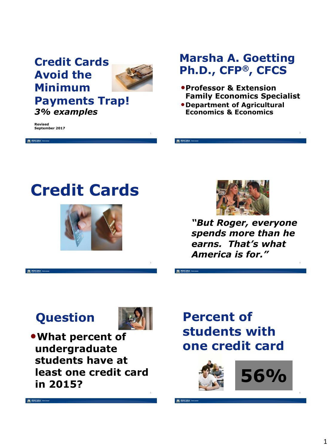## **Credit Cards Avoid the Minimum Payments Trap!**



*3% examples*

**Revised September 2017**

M MONTANA

### **Marsha A. Goetting Ph.D., CFP®, CFCS**

- •**Professor & Extension Family Economics Specialist**
- •**Department of Agricultural Economics & Economics**







*"But Roger, everyone spends more than he earns. That's what America is for."*

## **Question**

M MONTANA EXTENDE



•**What percent of undergraduate students have at least one credit card in 2015?**

## **Percent of students with one credit card**

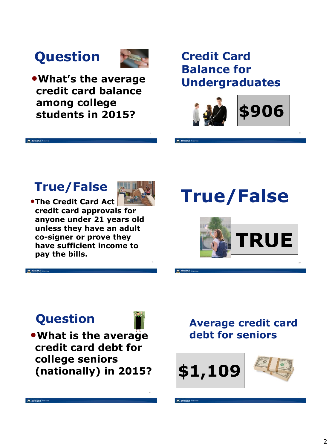# **Question**



•**What's the average credit card balance among college students in 2015?**

### **Credit Card Balance for Undergraduates**



8

### **True/False**

M MONTANA



**•The Credit Card Act credit card approvals for anyone under 21 years old unless they have an adult co-signer or prove they have sufficient income to pay the bills.** 

# **True/False**



## **Question**

•**What is the average credit card debt for college seniors (nationally) in 2015?**

### **Average credit card debt for seniors**

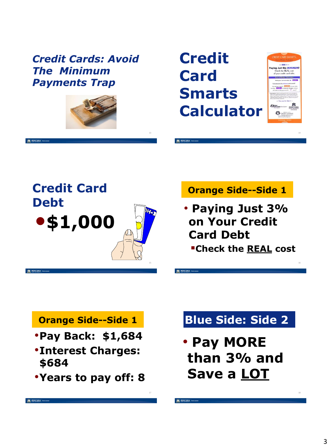#### *Credit Cards: Avoid The Minimum Payments Trap*



M MONTANA

13

**Credit Card Smarts Calculator**



14



#### **Orange Side--Side 1**

- **Paying Just 3% on Your Credit Card Debt**
	- **Check the REAL cost**

#### **Orange Side--Side 1**

- •**Pay Back: \$1,684**
- •**Interest Charges: \$684**
- •**Years to pay off: 8**

## **Blue Side: Side 2**

• **Pay MORE than 3% and Save a LOT**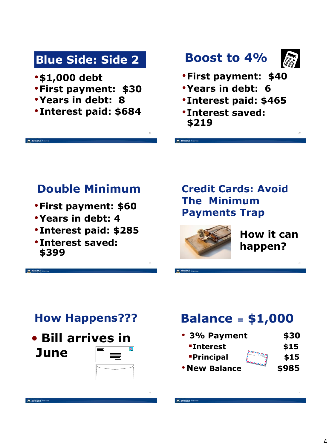## **Blue Side: Side 2**

•**\$1,000 debt**

M MONTANA EXTREME

- •**First payment: \$30**
- •**Years in debt: 8**
- •**Interest paid: \$684**

19

## **Boost to 4%**



20

- •**First payment: \$40**
- •**Years in debt: 6**
- •**Interest paid: \$465**
- •**Interest saved: \$219**

### **Double Minimum**

- •**First payment: \$60**
- •**Years in debt: 4**
- •**Interest paid: \$285**
- •**Interest saved: \$399**

#### **Credit Cards: Avoid The Minimum Payments Trap**



**How it can happen?**

### **How Happens???**



## **Balance <sup>=</sup> \$1,000**

| • 3% Payment                   | \$30  |
|--------------------------------|-------|
| <b>"Interest</b>               | \$15  |
| <b>Principal</b>               | \$15  |
| المصطف<br><b>. New Balance</b> | \$985 |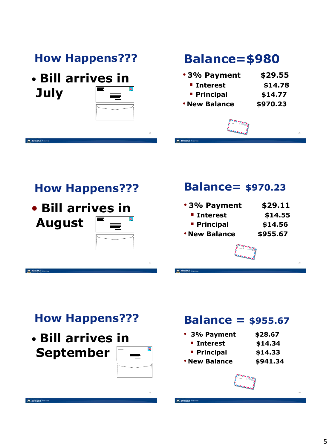## **How Happens???**

• **Bill arrives in July**

M MONTANA

M MONTANA

M MONTANA

| ══ |
|----|
|    |
|    |

25

## **Balance=\$980**

| • 3% Payment         | \$29.55  |
|----------------------|----------|
| <b>E</b> Interest    | \$14.78  |
| <b>Principal</b>     | \$14.77  |
| <b>. New Balance</b> | \$970.23 |
|                      |          |



26

### **How Happens???**



#### **Balance= \$970.23**

| •3% Payment          | \$29.11  |
|----------------------|----------|
| <b>E</b> Interest    | \$14.55  |
| <b>Principal</b>     | \$14.56  |
| <b>. New Balance</b> | \$955.67 |



## **How Happens???**

• **Bill arrives in September**

| . | ▅  |  |
|---|----|--|
| ═ |    |  |
|   | ▆  |  |
|   |    |  |
|   | -- |  |
|   |    |  |

### **Balance = \$955.67**

- **3% Payment \$28.67**
	- **Interest \$14.34**
	- **Principal \$14.33**
- **New Balance \$941.34**

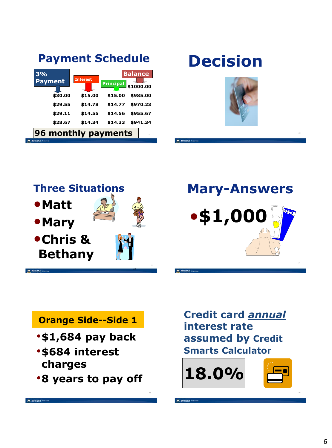| <b>Payment Schedule</b>                                                                                                                                                                                                                                                        | <b>Decision</b>     |
|--------------------------------------------------------------------------------------------------------------------------------------------------------------------------------------------------------------------------------------------------------------------------------|---------------------|
| <b>Balance</b><br>3%<br><b>Interest</b><br><b>Payment</b><br><b>Principal</b><br>\$1000.00<br>\$30.00<br>\$15.00<br>\$15.00<br>\$985.00<br>\$29.55<br>\$14.78<br>\$14.77<br>\$970.23<br>\$29.11<br>\$14.55<br>\$14.56<br>\$955.67<br>\$28.67<br>\$14.34<br>\$14.33<br>\$941.34 |                     |
| 96 monthly payments<br>31                                                                                                                                                                                                                                                      | 32                  |
| M MONTANA EXTENSION                                                                                                                                                                                                                                                            | M MONTANA EXTENSION |

# **Decision**







#### **Orange Side--Side 1**

- •**\$1,684 pay back**
- •**\$684 interest charges**
- •**8 years to pay off**

**Credit card** *annual*  **interest rate assumed by Credit Smarts Calculator**



36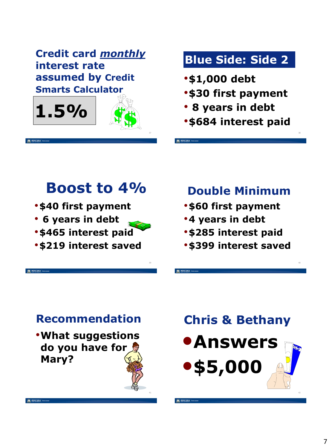**Credit card** *monthly*  **interest rate assumed by Credit Smarts Calculator**



## **Blue Side: Side 2**

- •**\$1,000 debt**
- •**\$30 first payment**
- **8 years in debt**
- •**\$684 interest paid**

38

**Boost to 4%**

- •**\$40 first payment**
- **6 years in debt**
- •**\$465 interest paid**
- •**\$219 interest saved**

## **Double Minimum**

- •**\$60 first payment**
- •**4 years in debt**
- •**\$285 interest paid**
- •**\$399 interest saved**



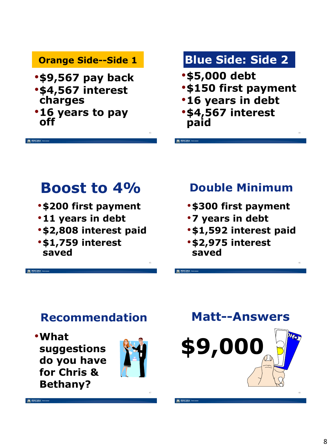#### **Orange Side--Side 1**

- •**\$9,567 pay back** •**\$4,567 interest**
- **charges**
- •**16 years to pay off**

M MONTANA

## **Blue Side: Side 2**

- •**\$5,000 debt**
- •**\$150 first payment**
- •**16 years in debt**
- •**\$4,567 interest paid**

## **Boost to 4%**

- •**\$200 first payment**
- •**11 years in debt**
- •**\$2,808 interest paid**
- •**\$1,759 interest saved**

## **Double Minimum**

44

- •**\$300 first payment**
- •**7 years in debt**
- •**\$1,592 interest paid**
- •**\$2,975 interest saved**

## **Recommendation**

•**What suggestions do you have for Chris & Bethany?**



43



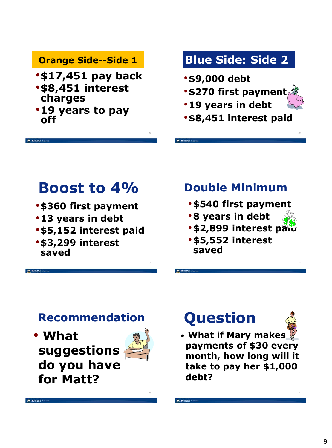#### **Orange Side--Side 1**

- •**\$17,451 pay back** •**\$8,451 interest**
- **charges**
- •**19 years to pay off**

## **Blue Side: Side 2**

- •**\$9,000 debt**
- •**\$270 first payment**
- •**19 years in debt**
- •**\$8,451 interest paid**

## **Boost to 4%**

- •**\$360 first payment**
- •**13 years in debt**
- •**\$5,152 interest paid**
- •**\$3,299 interest saved**

### **Double Minimum**

- •**\$540 first payment**
- •**8 years in debt**
- **\$2,899 interest pard**
- •**\$5,552 interest saved**

### **Recommendation**

• **What suggestions do you have for Matt?**



49

# **Question**



50

• **What if Mary makes payments of \$30 every month, how long will it take to pay her \$1,000 debt?**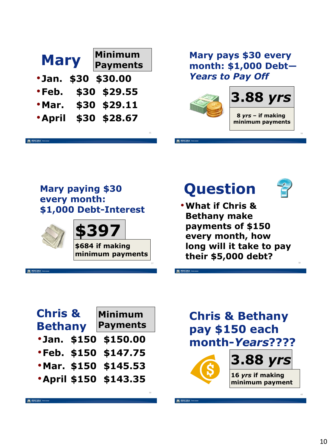| <b>Mary</b>   | <b>Minimum</b><br><b>Payments</b> |    |
|---------------|-----------------------------------|----|
|               | <b>.Jan. \$30 \$30.00</b>         |    |
| •Feb.         | \$30 \$29.55                      |    |
| · Mar.        | \$30 \$29.11                      |    |
| <b>*April</b> | \$30 \$28.67                      |    |
|               |                                   | 55 |

#### **Mary pays \$30 every month: \$1,000 Debt—** *Years to Pay Off*



#### **Mary paying \$30 every month: \$1,000 Debt-Interest**



M MONTANA EXTREME

**\$397**

**\$684 if making minimum payments**

57

# **Question**

•**What if Chris & Bethany make payments of \$150 every month, how long will it take to pay their \$5,000 debt?**

| <b>Chris &amp;</b><br><b>Bethany</b> | Minimum<br><b>Payments</b> |
|--------------------------------------|----------------------------|
| ·Jan. \$150 \$150.00                 |                            |
| <b>.Feb. \$150 \$147.75</b>          |                            |
| ·Mar. \$150 \$145.53                 |                            |
| <b>April \$150 \$143.35</b>          |                            |

### **Chris & Bethany pay \$150 each month-***Years***????**



60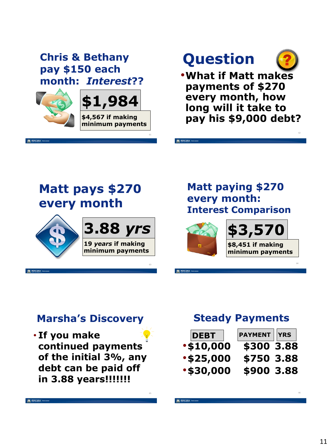#### **Chris & Bethany pay \$150 each month:** *Interest***??**



M MONTANA



61

63

65

# **Question**

•**What if Matt makes payments of \$270 every month, how long will it take to pay his \$9,000 debt?**

62

64

## **Matt pays \$270 every month**



M MONTANA



#### **Matt paying \$270 every month: Interest Comparison**



#### **Marsha's Discovery**

• **If you make continued payments of the initial 3%, any debt can be paid off in 3.88 years!!!!!!!**

#### **Steady Payments**

| <b>DEBT</b>      | <b>PAYMENT</b> YRS |  |
|------------------|--------------------|--|
| <b>.\$10,000</b> | \$300 3.88         |  |
| <b>.\$25,000</b> | \$750 3.88         |  |
| •\$30,000        | \$900 3.88         |  |